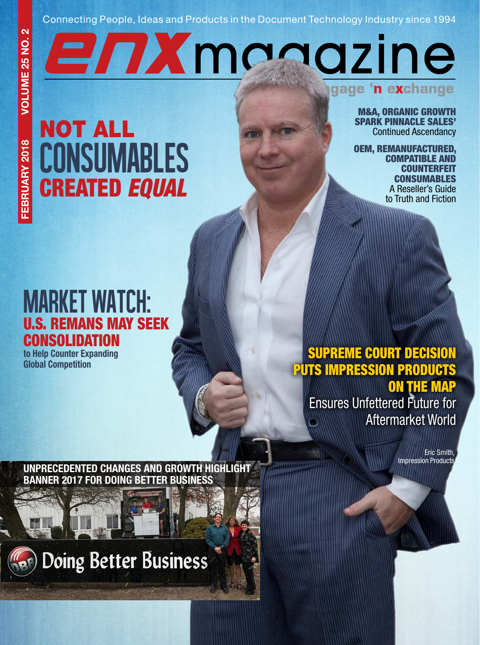### Connecting People, Ideas and Products in the Document Technology Industry since 1994

EnXmanazine

 $\overline{\mathbf{c}}$ 

NOT ALL **CONSUMABLES** CREATED *EQUAL*

M&A, ORGANIC GROWTH SPARK PINNACLE SALES' Continued Ascendancy

**engage 'n exchange**

OEM, REMANUFACTURED, COMPATIBLE AND **COUNTERFEIT** CONSUMABLES A Reseller's Guide to Truth and Fiction

## MARKET WATCH: U.S. REMANS MAY SEEK **CONSOLIDATION**

to Help Counter Expanding Global Competition

## SUPREME COURT DECISION PUTS IMPRESSION PRODUCTS ON THE MAP

Ensures Unfettered Future for Aftermarket World

> Eric Smith, Impression Products

UNPRECEDENTED CHANGES AND GROWTH HIGHLIGHT BANNER 2017 FOR DOING BETTER BUSINESS

# **Doing Better Business**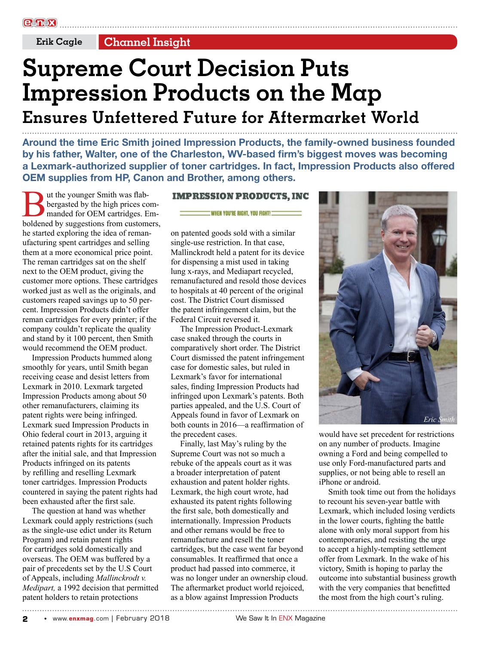**Erik Cagle Channel Insight**

# **Supreme Court Decision Puts Impression Products on the Map Ensures Unfettered Future for Aftermarket World**

Around the time Eric Smith joined Impression Products, the family-owned business founded by his father, Walter, one of the Charleston, WV-based firm's biggest moves was becoming a Lexmark-authorized supplier of toner cartridges. In fact, Impression Products also offered OEM supplies from HP, Canon and Brother, among others.

But the younger Smith was flab-<br>bergasted by the high prices com-<br>holdened by suggestions from customers, bergasted by the high prices commanded for OEM cartridges. Emhe started exploring the idea of remanufacturing spent cartridges and selling them at a more economical price point. The reman cartridges sat on the shelf next to the OEM product, giving the customer more options. These cartridges worked just as well as the originals, and customers reaped savings up to 50 percent. Impression Products didn't offer reman cartridges for every printer; if the company couldn't replicate the quality and stand by it 100 percent, then Smith would recommend the OEM product.

Impression Products hummed along smoothly for years, until Smith began receiving cease and desist letters from Lexmark in 2010. Lexmark targeted Impression Products among about 50 other remanufacturers, claiming its patent rights were being infringed. Lexmark sued Impression Products in Ohio federal court in 2013, arguing it retained patents rights for its cartridges after the initial sale, and that Impression Products infringed on its patents by refilling and reselling Lexmark toner cartridges. Impression Products countered in saying the patent rights had been exhausted after the first sale.

The question at hand was whether Lexmark could apply restrictions (such as the single-use edict under its Return Program) and retain patent rights for cartridges sold domestically and overseas. The OEM was buffered by a pair of precedents set by the U.S Court of Appeals, including *Mallinckrodt v. Medipart,* a 1992 decision that permitted patent holders to retain protections

#### **IMPRESSION PRODUCTS, INC**

#### WHEN YOU'RE RIGHT, YOU FIGHT!!

on patented goods sold with a similar single-use restriction. In that case, Mallinckrodt held a patent for its device for dispensing a mist used in taking lung x-rays, and Mediapart recycled, remanufactured and resold those devices to hospitals at 40 percent of the original cost. The District Court dismissed the patent infringement claim, but the Federal Circuit reversed it.

The Impression Product-Lexmark case snaked through the courts in comparatively short order. The District Court dismissed the patent infringement case for domestic sales, but ruled in Lexmark's favor for international sales, finding Impression Products had infringed upon Lexmark's patents. Both parties appealed, and the U.S. Court of Appeals found in favor of Lexmark on both counts in 2016—a reaffirmation of the precedent cases.

Finally, last May's ruling by the Supreme Court was not so much a rebuke of the appeals court as it was a broader interpretation of patent exhaustion and patent holder rights. Lexmark, the high court wrote, had exhausted its patent rights following the first sale, both domestically and internationally. Impression Products and other remans would be free to remanufacture and resell the toner cartridges, but the case went far beyond consumables. It reaffirmed that once a product had passed into commerce, it was no longer under an ownership cloud. The aftermarket product world rejoiced, as a blow against Impression Products



would have set precedent for restrictions on any number of products. Imagine owning a Ford and being compelled to use only Ford-manufactured parts and supplies, or not being able to resell an iPhone or android.

Smith took time out from the holidays to recount his seven-year battle with Lexmark, which included losing verdicts in the lower courts, fighting the battle alone with only moral support from his contemporaries, and resisting the urge to accept a highly-tempting settlement offer from Lexmark. In the wake of his victory, Smith is hoping to parlay the outcome into substantial business growth with the very companies that benefitted the most from the high court's ruling.

**2** • www.enxmag.com | February 2018 We Saw It In ENX Magazine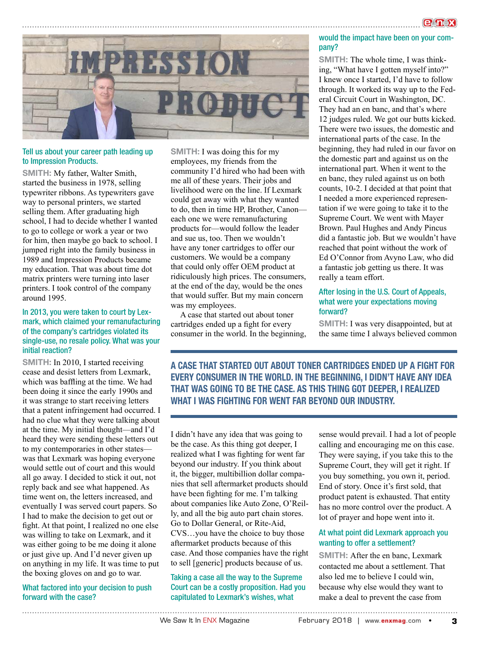

#### Tell us about your career path leading up to Impression Products.

SMITH: My father, Walter Smith, started the business in 1978, selling typewriter ribbons. As typewriters gave way to personal printers, we started selling them. After graduating high school, I had to decide whether I wanted to go to college or work a year or two for him, then maybe go back to school. I jumped right into the family business in 1989 and Impression Products became my education. That was about time dot matrix printers were turning into laser printers. I took control of the company around 1995.

#### In 2013, you were taken to court by Lexmark, which claimed your remanufacturing of the company's cartridges violated its single-use, no resale policy. What was your initial reaction?

SMITH: In 2010, I started receiving cease and desist letters from Lexmark, which was baffling at the time. We had been doing it since the early 1990s and it was strange to start receiving letters that a patent infringement had occurred. I had no clue what they were talking about at the time. My initial thought—and I'd heard they were sending these letters out to my contemporaries in other states was that Lexmark was hoping everyone would settle out of court and this would all go away. I decided to stick it out, not reply back and see what happened. As time went on, the letters increased, and eventually I was served court papers. So I had to make the decision to get out or fight. At that point, I realized no one else was willing to take on Lexmark, and it was either going to be me doing it alone or just give up. And I'd never given up on anything in my life. It was time to put the boxing gloves on and go to war.

What factored into your decision to push forward with the case?

SMITH: I was doing this for my employees, my friends from the community I'd hired who had been with me all of these years. Their jobs and livelihood were on the line. If Lexmark could get away with what they wanted to do, then in time HP, Brother, Canon each one we were remanufacturing products for—would follow the leader and sue us, too. Then we wouldn't have any toner cartridges to offer our customers. We would be a company that could only offer OEM product at ridiculously high prices. The consumers, at the end of the day, would be the ones that would suffer. But my main concern was my employees.

A case that started out about toner cartridges ended up a fight for every consumer in the world. In the beginning,

#### would the impact have been on your company?

SMITH: The whole time, I was thinking, "What have I gotten myself into?" I knew once I started, I'd have to follow through. It worked its way up to the Federal Circuit Court in Washington, DC. They had an en banc, and that's where 12 judges ruled. We got our butts kicked. There were two issues, the domestic and international parts of the case. In the beginning, they had ruled in our favor on the domestic part and against us on the international part. When it went to the en banc, they ruled against us on both counts, 10-2. I decided at that point that I needed a more experienced representation if we were going to take it to the Supreme Court. We went with Mayer Brown. Paul Hughes and Andy Pincus did a fantastic job. But we wouldn't have reached that point without the work of Ed O'Connor from Avyno Law, who did a fantastic job getting us there. It was really a team effort.

#### After losing in the U.S. Court of Appeals, what were your expectations moving forward?

SMITH: I was very disappointed, but at the same time I always believed common

A CASE THAT STARTED OUT ABOUT TONER CARTRIDGES ENDED UP A FIGHT FOR EVERY CONSUMER IN THE WORLD. IN THE BEGINNING, I DIDN'T HAVE ANY IDEA THAT WAS GOING TO BE THE CASE. AS THIS THING GOT DEEPER, I REALIZED WHAT I WAS FIGHTING FOR WENT FAR BEYOND OUR INDUSTRY.

I didn't have any idea that was going to be the case. As this thing got deeper, I realized what I was fighting for went far beyond our industry. If you think about it, the bigger, multibillion dollar companies that sell aftermarket products should have been fighting for me. I'm talking about companies like Auto Zone, O'Reilly, and all the big auto part chain stores. Go to Dollar General, or Rite-Aid, CVS…you have the choice to buy those aftermarket products because of this case. And those companies have the right to sell [generic] products because of us.

Taking a case all the way to the Supreme Court can be a costly proposition. Had you capitulated to Lexmark's wishes, what

sense would prevail. I had a lot of people calling and encouraging me on this case. They were saying, if you take this to the Supreme Court, they will get it right. If you buy something, you own it, period. End of story. Once it's first sold, that product patent is exhausted. That entity has no more control over the product. A lot of prayer and hope went into it.

#### At what point did Lexmark approach you wanting to offer a settlement?

SMITH: After the en banc, Lexmark contacted me about a settlement. That also led me to believe I could win, because why else would they want to make a deal to prevent the case from